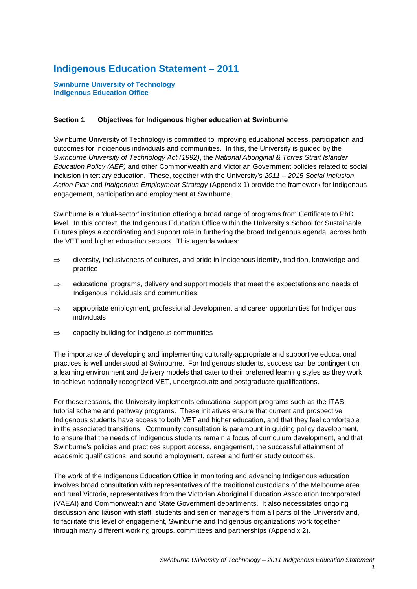# **Indigenous Education Statement – 2011**

**Swinburne University of Technology Indigenous Education Office**

# **Section 1 Objectives for Indigenous higher education at Swinburne**

Swinburne University of Technology is committed to improving educational access, participation and outcomes for Indigenous individuals and communities. In this, the University is guided by the *Swinburne University of Technology Act (1992)*, the *National Aboriginal & Torres Strait Islander Education Policy (AEP)* and other Commonwealth and Victorian Government policies related to social inclusion in tertiary education. These, together with the University's *2011 – 2015 Social Inclusion Action Plan* and *Indigenous Employment Strategy* (Appendix 1) provide the framework for Indigenous engagement, participation and employment at Swinburne.

Swinburne is a 'dual-sector' institution offering a broad range of programs from Certificate to PhD level. In this context, the Indigenous Education Office within the University's School for Sustainable Futures plays a coordinating and support role in furthering the broad Indigenous agenda, across both the VET and higher education sectors. This agenda values:

- $\Rightarrow$  diversity, inclusiveness of cultures, and pride in Indigenous identity, tradition, knowledge and practice
- $\Rightarrow$  educational programs, delivery and support models that meet the expectations and needs of Indigenous individuals and communities
- $\Rightarrow$  appropriate employment, professional development and career opportunities for Indigenous individuals
- ⇒ capacity-building for Indigenous communities

The importance of developing and implementing culturally-appropriate and supportive educational practices is well understood at Swinburne. For Indigenous students, success can be contingent on a learning environment and delivery models that cater to their preferred learning styles as they work to achieve nationally-recognized VET, undergraduate and postgraduate qualifications.

For these reasons, the University implements educational support programs such as the ITAS tutorial scheme and pathway programs. These initiatives ensure that current and prospective Indigenous students have access to both VET and higher education, and that they feel comfortable in the associated transitions. Community consultation is paramount in guiding policy development, to ensure that the needs of Indigenous students remain a focus of curriculum development, and that Swinburne's policies and practices support access, engagement, the successful attainment of academic qualifications, and sound employment, career and further study outcomes.

The work of the Indigenous Education Office in monitoring and advancing Indigenous education involves broad consultation with representatives of the traditional custodians of the Melbourne area and rural Victoria, representatives from the Victorian Aboriginal Education Association Incorporated (VAEAI) and Commonwealth and State Government departments. It also necessitates ongoing discussion and liaison with staff, students and senior managers from all parts of the University and, to facilitate this level of engagement, Swinburne and Indigenous organizations work together through many different working groups, committees and partnerships (Appendix 2).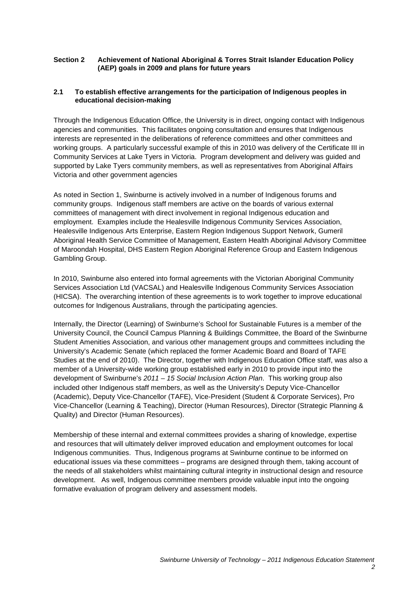# **Section 2 Achievement of National Aboriginal & Torres Strait Islander Education Policy (AEP) goals in 2009 and plans for future years**

# **2.1 To establish effective arrangements for the participation of Indigenous peoples in educational decision-making**

Through the Indigenous Education Office, the University is in direct, ongoing contact with Indigenous agencies and communities. This facilitates ongoing consultation and ensures that Indigenous interests are represented in the deliberations of reference committees and other committees and working groups. A particularly successful example of this in 2010 was delivery of the Certificate III in Community Services at Lake Tyers in Victoria. Program development and delivery was guided and supported by Lake Tyers community members, as well as representatives from Aboriginal Affairs Victoria and other government agencies

As noted in Section 1, Swinburne is actively involved in a number of Indigenous forums and community groups. Indigenous staff members are active on the boards of various external committees of management with direct involvement in regional Indigenous education and employment. Examples include the Healesville Indigenous Community Services Association, Healesville Indigenous Arts Enterprise, Eastern Region Indigenous Support Network, Gumeril Aboriginal Health Service Committee of Management, Eastern Health Aboriginal Advisory Committee of Maroondah Hospital, DHS Eastern Region Aboriginal Reference Group and Eastern Indigenous Gambling Group.

In 2010, Swinburne also entered into formal agreements with the Victorian Aboriginal Community Services Association Ltd (VACSAL) and Healesville Indigenous Community Services Association (HICSA). The overarching intention of these agreements is to work together to improve educational outcomes for Indigenous Australians, through the participating agencies.

Internally, the Director (Learning) of Swinburne's School for Sustainable Futures is a member of the University Council, the Council Campus Planning & Buildings Committee, the Board of the Swinburne Student Amenities Association, and various other management groups and committees including the University's Academic Senate (which replaced the former Academic Board and Board of TAFE Studies at the end of 2010). The Director, together with Indigenous Education Office staff, was also a member of a University-wide working group established early in 2010 to provide input into the development of Swinburne's *2011 – 15 Social Inclusion Action Plan*. This working group also included other Indigenous staff members, as well as the University's Deputy Vice-Chancellor (Academic), Deputy Vice-Chancellor (TAFE), Vice-President (Student & Corporate Services), Pro Vice-Chancellor (Learning & Teaching), Director (Human Resources), Director (Strategic Planning & Quality) and Director (Human Resources).

Membership of these internal and external committees provides a sharing of knowledge, expertise and resources that will ultimately deliver improved education and employment outcomes for local Indigenous communities. Thus, Indigenous programs at Swinburne continue to be informed on educational issues via these committees – programs are designed through them, taking account of the needs of all stakeholders whilst maintaining cultural integrity in instructional design and resource development. As well, Indigenous committee members provide valuable input into the ongoing formative evaluation of program delivery and assessment models.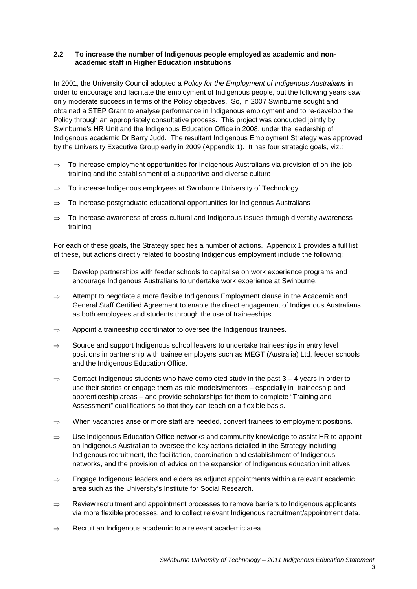# **2.2 To increase the number of Indigenous people employed as academic and nonacademic staff in Higher Education institutions**

In 2001, the University Council adopted a *Policy for the Employment of Indigenous Australians* in order to encourage and facilitate the employment of Indigenous people, but the following years saw only moderate success in terms of the Policy objectives. So, in 2007 Swinburne sought and obtained a STEP Grant to analyse performance in Indigenous employment and to re-develop the Policy through an appropriately consultative process. This project was conducted jointly by Swinburne's HR Unit and the Indigenous Education Office in 2008, under the leadership of Indigenous academic Dr Barry Judd. The resultant Indigenous Employment Strategy was approved by the University Executive Group early in 2009 (Appendix 1). It has four strategic goals, viz.:

- ⇒ To increase employment opportunities for Indigenous Australians via provision of on-the-job training and the establishment of a supportive and diverse culture
- ⇒ To increase Indigenous employees at Swinburne University of Technology
- $\Rightarrow$  To increase postgraduate educational opportunities for Indigenous Australians
- ⇒ To increase awareness of cross-cultural and Indigenous issues through diversity awareness training

For each of these goals, the Strategy specifies a number of actions. Appendix 1 provides a full list of these, but actions directly related to boosting Indigenous employment include the following:

- ⇒ Develop partnerships with feeder schools to capitalise on work experience programs and encourage Indigenous Australians to undertake work experience at Swinburne.
- ⇒ Attempt to negotiate a more flexible Indigenous Employment clause in the Academic and General Staff Certified Agreement to enable the direct engagement of Indigenous Australians as both employees and students through the use of traineeships.
- $\Rightarrow$  Appoint a traineeship coordinator to oversee the Indigenous trainees.
- $\Rightarrow$  Source and support Indigenous school leavers to undertake traineeships in entry level positions in partnership with trainee employers such as MEGT (Australia) Ltd, feeder schools and the Indigenous Education Office.
- $\Rightarrow$  Contact Indigenous students who have completed study in the past 3 4 years in order to use their stories or engage them as role models/mentors – especially in traineeship and apprenticeship areas – and provide scholarships for them to complete "Training and Assessment" qualifications so that they can teach on a flexible basis.
- ⇒ When vacancies arise or more staff are needed, convert trainees to employment positions.
- ⇒ Use Indigenous Education Office networks and community knowledge to assist HR to appoint an Indigenous Australian to oversee the key actions detailed in the Strategy including Indigenous recruitment, the facilitation, coordination and establishment of Indigenous networks, and the provision of advice on the expansion of Indigenous education initiatives.
- ⇒ Engage Indigenous leaders and elders as adjunct appointments within a relevant academic area such as the University's Institute for Social Research.
- ⇒ Review recruitment and appointment processes to remove barriers to Indigenous applicants via more flexible processes, and to collect relevant Indigenous recruitment/appointment data.
- ⇒ Recruit an Indigenous academic to a relevant academic area.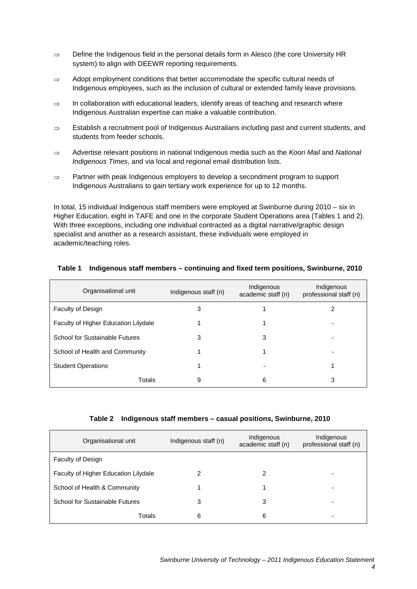- ⇒ Define the Indigenous field in the personal details form in Alesco (the core University HR system) to align with DEEWR reporting requirements.
- ⇒ Adopt employment conditions that better accommodate the specific cultural needs of Indigenous employees, such as the inclusion of cultural or extended family leave provisions.
- ⇒ In collaboration with educational leaders, identify areas of teaching and research where Indigenous Australian expertise can make a valuable contribution.
- ⇒ Establish a recruitment pool of Indigenous Australians including past and current students, and students from feeder schools.
- ⇒ Advertise relevant positions in national Indigenous media such as the *Koori Mail* and *National Indigenous Times*, and via local and regional email distribution lists.
- ⇒ Partner with peak Indigenous employers to develop a secondment program to support Indigenous Australians to gain tertiary work experience for up to 12 months.

In total, 15 individual Indigenous staff members were employed at Swinburne during 2010 – six in Higher Education, eight in TAFE and one in the corporate Student Operations area (Tables 1 and 2). With three exceptions, including one individual contracted as a digital narrative/graphic design specialist and another as a research assistant, these individuals were employed in academic/teaching roles.

| Organisational unit<br>Indigenous staff (n) |   | Indigenous<br>academic staff (n) | Indigenous<br>professional staff (n) |
|---------------------------------------------|---|----------------------------------|--------------------------------------|
| Faculty of Design                           | 3 |                                  |                                      |
| Faculty of Higher Education Lilydale        |   |                                  |                                      |
| School for Sustainable Futures              | 3 | 3                                |                                      |
| School of Health and Community              |   |                                  |                                      |
| <b>Student Operations</b>                   |   |                                  |                                      |
| Totals                                      | 9 | 6                                | 3                                    |

# **Table 1 Indigenous staff members – continuing and fixed term positions, Swinburne, 2010**

#### **Table 2 Indigenous staff members – casual positions, Swinburne, 2010**

| Organisational unit                  | Indigenous staff (n)<br>academic staff (n) |   | Indigenous<br>professional staff (n) |
|--------------------------------------|--------------------------------------------|---|--------------------------------------|
| <b>Faculty of Design</b>             |                                            |   |                                      |
| Faculty of Higher Education Lilydale |                                            | 2 |                                      |
| School of Health & Community         |                                            |   |                                      |
| School for Sustainable Futures       | 3                                          | 3 |                                      |
| Totals                               | 6                                          | 6 |                                      |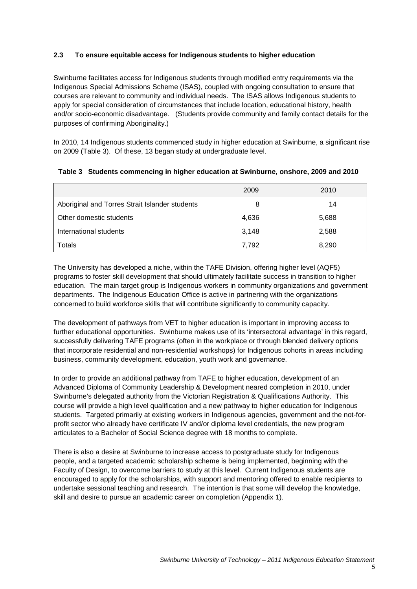# **2.3 To ensure equitable access for Indigenous students to higher education**

Swinburne facilitates access for Indigenous students through modified entry requirements via the Indigenous Special Admissions Scheme (ISAS), coupled with ongoing consultation to ensure that courses are relevant to community and individual needs. The ISAS allows Indigenous students to apply for special consideration of circumstances that include location, educational history, health and/or socio-economic disadvantage. (Students provide community and family contact details for the purposes of confirming Aboriginality.)

In 2010, 14 Indigenous students commenced study in higher education at Swinburne, a significant rise on 2009 (Table 3). Of these, 13 began study at undergraduate level.

|  | Table 3 Students commencing in higher education at Swinburne, onshore, 2009 and 2010 |  |
|--|--------------------------------------------------------------------------------------|--|
|--|--------------------------------------------------------------------------------------|--|

|                                                | 2009  | 2010  |  |
|------------------------------------------------|-------|-------|--|
| Aboriginal and Torres Strait Islander students | 8     | 14    |  |
| Other domestic students                        | 4,636 | 5,688 |  |
| International students                         | 3,148 | 2,588 |  |
| Totals                                         | 7.792 | 8,290 |  |

The University has developed a niche, within the TAFE Division, offering higher level (AQF5) programs to foster skill development that should ultimately facilitate success in transition to higher education. The main target group is Indigenous workers in community organizations and government departments. The Indigenous Education Office is active in partnering with the organizations concerned to build workforce skills that will contribute significantly to community capacity.

The development of pathways from VET to higher education is important in improving access to further educational opportunities. Swinburne makes use of its 'intersectoral advantage' in this regard, successfully delivering TAFE programs (often in the workplace or through blended delivery options that incorporate residential and non-residential workshops) for Indigenous cohorts in areas including business, community development, education, youth work and governance.

In order to provide an additional pathway from TAFE to higher education, development of an Advanced Diploma of Community Leadership & Development neared completion in 2010, under Swinburne's delegated authority from the Victorian Registration & Qualifications Authority. This course will provide a high level qualification and a new pathway to higher education for Indigenous students. Targeted primarily at existing workers in Indigenous agencies, government and the not-forprofit sector who already have certificate IV and/or diploma level credentials, the new program articulates to a Bachelor of Social Science degree with 18 months to complete.

There is also a desire at Swinburne to increase access to postgraduate study for Indigenous people, and a targeted academic scholarship scheme is being implemented, beginning with the Faculty of Design, to overcome barriers to study at this level. Current Indigenous students are encouraged to apply for the scholarships, with support and mentoring offered to enable recipients to undertake sessional teaching and research. The intention is that some will develop the knowledge, skill and desire to pursue an academic career on completion (Appendix 1).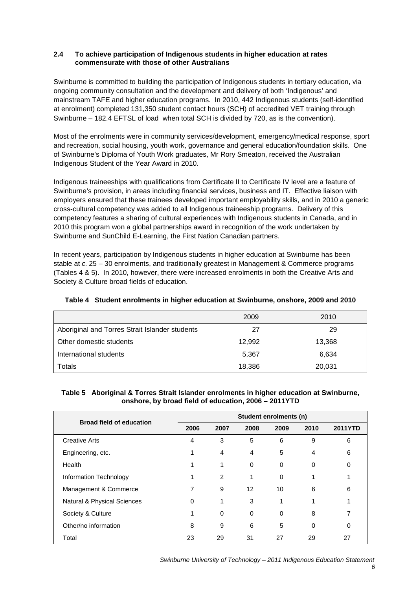# **2.4 To achieve participation of Indigenous students in higher education at rates commensurate with those of other Australians**

Swinburne is committed to building the participation of Indigenous students in tertiary education, via ongoing community consultation and the development and delivery of both 'Indigenous' and mainstream TAFE and higher education programs. In 2010, 442 Indigenous students (self-identified at enrolment) completed 131,350 student contact hours (SCH) of accredited VET training through Swinburne – 182.4 EFTSL of load when total SCH is divided by 720, as is the convention).

Most of the enrolments were in community services/development, emergency/medical response, sport and recreation, social housing, youth work, governance and general education/foundation skills. One of Swinburne's Diploma of Youth Work graduates, Mr Rory Smeaton, received the Australian Indigenous Student of the Year Award in 2010.

Indigenous traineeships with qualifications from Certificate II to Certificate IV level are a feature of Swinburne's provision, in areas including financial services, business and IT. Effective liaison with employers ensured that these trainees developed important employability skills, and in 2010 a generic cross-cultural competency was added to all Indigenous traineeship programs. Delivery of this competency features a sharing of cultural experiences with Indigenous students in Canada, and in 2010 this program won a global partnerships award in recognition of the work undertaken by Swinburne and SunChild E-Learning, the First Nation Canadian partners.

In recent years, participation by Indigenous students in higher education at Swinburne has been stable at *c.* 25 – 30 enrolments, and traditionally greatest in Management & Commerce programs (Tables 4 & 5). In 2010, however, there were increased enrolments in both the Creative Arts and Society & Culture broad fields of education.

|                                                | 2009   | 2010   |  |
|------------------------------------------------|--------|--------|--|
| Aboriginal and Torres Strait Islander students | 27     | 29     |  |
| Other domestic students                        | 12,992 | 13,368 |  |
| International students                         | 5,367  | 6,634  |  |
| Totals                                         | 18,386 | 20,031 |  |

# **Table 4 Student enrolments in higher education at Swinburne, onshore, 2009 and 2010**

# **Table 5 Aboriginal & Torres Strait Islander enrolments in higher education at Swinburne, onshore, by broad field of education, 2006 – 2011YTD**

| <b>Broad field of education</b> | Student enrolments (n) |          |                   |      |          |                |
|---------------------------------|------------------------|----------|-------------------|------|----------|----------------|
|                                 | 2006                   | 2007     | 2008              | 2009 | 2010     | <b>2011YTD</b> |
| <b>Creative Arts</b>            | 4                      | 3        | 5                 | 6    | 9        | 6              |
| Engineering, etc.               |                        | 4        | 4                 | 5    | 4        | 6              |
| Health                          |                        | 1        | 0                 | 0    | $\Omega$ | 0              |
| Information Technology          |                        | 2        | 1                 | 0    |          |                |
| Management & Commerce           | 7                      | 9        | $12 \overline{ }$ | 10   | 6        | 6              |
| Natural & Physical Sciences     | 0                      | 1        | 3                 | 1    |          |                |
| Society & Culture               |                        | $\Omega$ | 0                 | 0    | 8        |                |
| Other/no information            | 8                      | 9        | 6                 | 5    | $\Omega$ | 0              |
| Total                           | 23                     | 29       | 31                | 27   | 29       | 27             |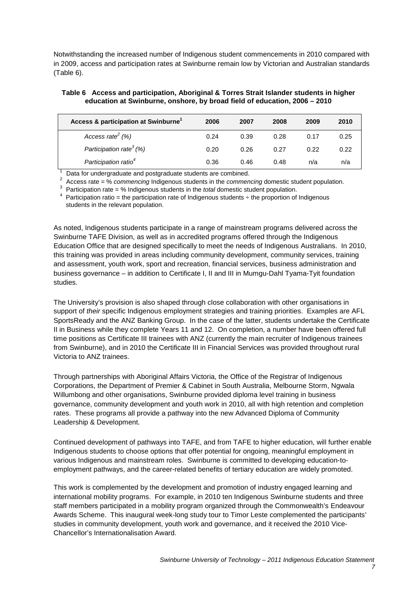Notwithstanding the increased number of Indigenous student commencements in 2010 compared with in 2009, access and participation rates at Swinburne remain low by Victorian and Australian standards (Table 6).

#### **Table 6 Access and participation, Aboriginal & Torres Strait Islander students in higher education at Swinburne, onshore, by broad field of education, 2006 – 2010**

| Access & participation at Swinburne <sup>1</sup> | 2006 | 2007 | 2008 | 2009 | 2010 |
|--------------------------------------------------|------|------|------|------|------|
| Access rate <sup>2</sup> $(%)$                   | 0.24 | 0.39 | 0.28 | 0.17 | 0.25 |
| Participation rate <sup>3</sup> (%)              | 0.20 | 0.26 | 0.27 | 0.22 | 0.22 |
| Participation ratio <sup>4</sup>                 | 0.36 | 0.46 | 0.48 | n/a  | n/a  |

1 Data for undergraduate and postgraduate students are combined. 2 Access rate = % *commencing* Indigenous students in the *commencing* domestic student population.

3 Participation rate = % Indigenous students in the *total* domestic student population.

Participation ratio = the participation rate of Indigenous students  $\div$  the proportion of Indigenous students in the relevant population.

As noted, Indigenous students participate in a range of mainstream programs delivered across the Swinburne TAFE Division, as well as in accredited programs offered through the Indigenous Education Office that are designed specifically to meet the needs of Indigenous Australians. In 2010, this training was provided in areas including community development, community services, training and assessment, youth work, sport and recreation, financial services, business administration and business governance – in addition to Certificate I, II and III in Mumgu-Dahl Tyama-Tyit foundation studies.

The University's provision is also shaped through close collaboration with other organisations in support of *their* specific Indigenous employment strategies and training priorities. Examples are AFL SportsReady and the ANZ Banking Group. In the case of the latter, students undertake the Certificate II in Business while they complete Years 11 and 12. On completion, a number have been offered full time positions as Certificate III trainees with ANZ (currently the main recruiter of Indigenous trainees from Swinburne), and in 2010 the Certificate III in Financial Services was provided throughout rural Victoria to ANZ trainees.

Through partnerships with Aboriginal Affairs Victoria, the Office of the Registrar of Indigenous Corporations, the Department of Premier & Cabinet in South Australia, Melbourne Storm, Ngwala Willumbong and other organisations, Swinburne provided diploma level training in business governance, community development and youth work in 2010, all with high retention and completion rates. These programs all provide a pathway into the new Advanced Diploma of Community Leadership & Development.

Continued development of pathways into TAFE, and from TAFE to higher education, will further enable Indigenous students to choose options that offer potential for ongoing, meaningful employment in various Indigenous and mainstream roles. Swinburne is committed to developing education-toemployment pathways, and the career-related benefits of tertiary education are widely promoted.

This work is complemented by the development and promotion of industry engaged learning and international mobility programs. For example, in 2010 ten Indigenous Swinburne students and three staff members participated in a mobility program organized through the Commonwealth's Endeavour Awards Scheme. This inaugural week-long study tour to Timor Leste complemented the participants' studies in community development, youth work and governance, and it received the 2010 Vice-Chancellor's Internationalisation Award.

*7*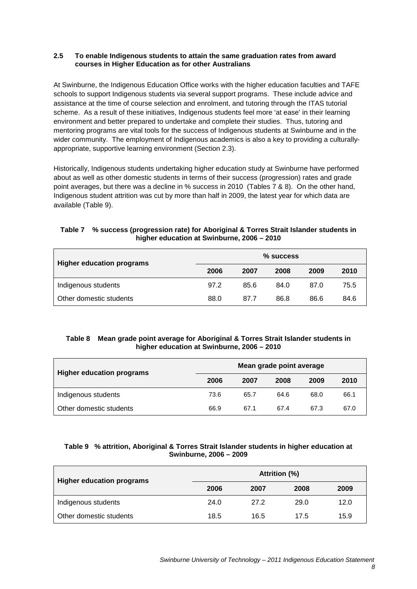# **2.5 To enable Indigenous students to attain the same graduation rates from award courses in Higher Education as for other Australians**

At Swinburne, the Indigenous Education Office works with the higher education faculties and TAFE schools to support Indigenous students via several support programs. These include advice and assistance at the time of course selection and enrolment, and tutoring through the ITAS tutorial scheme. As a result of these initiatives, Indigenous students feel more 'at ease' in their learning environment and better prepared to undertake and complete their studies. Thus, tutoring and mentoring programs are vital tools for the success of Indigenous students at Swinburne and in the wider community. The employment of Indigenous academics is also a key to providing a culturallyappropriate, supportive learning environment (Section 2.3).

Historically, Indigenous students undertaking higher education study at Swinburne have performed about as well as other domestic students in terms of their success (progression) rates and grade point averages, but there was a decline in % success in 2010 (Tables 7 & 8). On the other hand, Indigenous student attrition was cut by more than half in 2009, the latest year for which data are available (Table 9).

# **Table 7 % success (progression rate) for Aboriginal & Torres Strait Islander students in higher education at Swinburne, 2006 – 2010**

| <b>Higher education programs</b> | $%$ success |      |      |      |      |
|----------------------------------|-------------|------|------|------|------|
|                                  | 2006        | 2007 | 2008 | 2009 | 2010 |
| Indigenous students              | 97.2        | 85.6 | 84.0 | 87.0 | 75.5 |
| Other domestic students          | 88.0        | 87.7 | 86.8 | 86.6 | 84.6 |

# **Table 8 Mean grade point average for Aboriginal & Torres Strait Islander students in higher education at Swinburne, 2006 – 2010**

| <b>Higher education programs</b> | Mean grade point average |      |      |      |      |
|----------------------------------|--------------------------|------|------|------|------|
|                                  | 2006                     | 2007 | 2008 | 2009 | 2010 |
| Indigenous students              | 73.6                     | 65.7 | 64.6 | 68.0 | 66.1 |
| Other domestic students          | 66.9                     | 67.1 | 67.4 | 67.3 | 67.0 |

# **Table 9 % attrition, Aboriginal & Torres Strait Islander students in higher education at Swinburne, 2006 – 2009**

| <b>Higher education programs</b> | Attrition (%) |      |      |      |  |  |
|----------------------------------|---------------|------|------|------|--|--|
|                                  | 2006          | 2007 | 2008 | 2009 |  |  |
| Indigenous students              | 24.0          | 27.2 | 29.0 | 12.0 |  |  |
| Other domestic students          | 18.5          | 16.5 | 17.5 | 15.9 |  |  |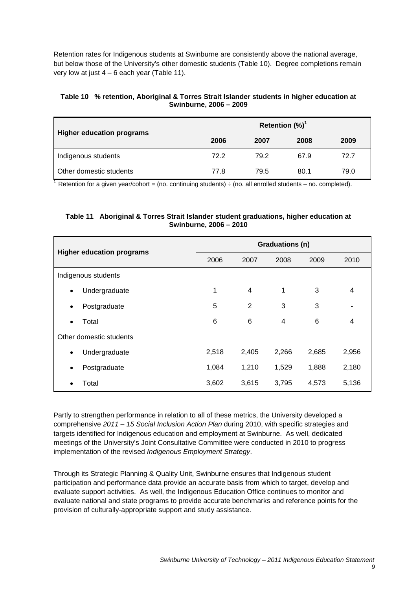Retention rates for Indigenous students at Swinburne are consistently above the national average, but below those of the University's other domestic students (Table 10). Degree completions remain very low at just  $4 - 6$  each year (Table 11).

#### **Table 10 % retention, Aboriginal & Torres Strait Islander students in higher education at Swinburne, 2006 – 2009**

| <b>Higher education programs</b> | Retention $(\%)^1$ |      |      |      |  |  |
|----------------------------------|--------------------|------|------|------|--|--|
| 2006                             |                    | 2007 | 2008 | 2009 |  |  |
| Indigenous students              | 72.2               | 79.2 | 67.9 | 72.7 |  |  |
| Other domestic students          | 77.8               | 79.5 | 80.1 | 79.0 |  |  |

<sup>1</sup> Retention for a given year/cohort = (no. continuing students)  $\div$  (no. all enrolled students – no. completed).

# **Table 11 Aboriginal & Torres Strait Islander student graduations, higher education at Swinburne, 2006 – 2010**

| <b>Higher education programs</b> | <b>Graduations (n)</b> |                |       |       |       |
|----------------------------------|------------------------|----------------|-------|-------|-------|
|                                  | 2006                   | 2007           | 2008  | 2009  | 2010  |
| Indigenous students              |                        |                |       |       |       |
| Undergraduate<br>$\bullet$       | 1                      | $\overline{4}$ | 1     | 3     | 4     |
| Postgraduate<br>٠                | 5                      | $\overline{2}$ | 3     | 3     |       |
| Total<br>$\bullet$               | 6                      | 6              | 4     | 6     | 4     |
| Other domestic students          |                        |                |       |       |       |
| Undergraduate<br>$\bullet$       | 2,518                  | 2,405          | 2,266 | 2,685 | 2,956 |
| Postgraduate<br>$\bullet$        | 1,084                  | 1,210          | 1,529 | 1,888 | 2,180 |
| Total                            | 3,602                  | 3,615          | 3,795 | 4,573 | 5,136 |

Partly to strengthen performance in relation to all of these metrics, the University developed a comprehensive *2011 – 15 Social Inclusion Action Plan* during 2010, with specific strategies and targets identified for Indigenous education and employment at Swinburne. As well, dedicated meetings of the University's Joint Consultative Committee were conducted in 2010 to progress implementation of the revised *Indigenous Employment Strategy*.

Through its Strategic Planning & Quality Unit, Swinburne ensures that Indigenous student participation and performance data provide an accurate basis from which to target, develop and evaluate support activities. As well, the Indigenous Education Office continues to monitor and evaluate national and state programs to provide accurate benchmarks and reference points for the provision of culturally-appropriate support and study assistance.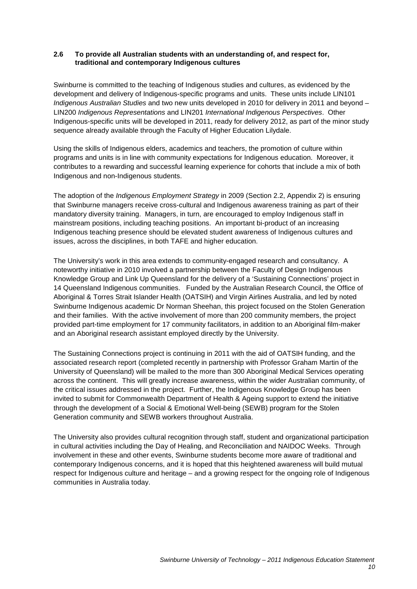# **2.6 To provide all Australian students with an understanding of, and respect for, traditional and contemporary Indigenous cultures**

Swinburne is committed to the teaching of Indigenous studies and cultures, as evidenced by the development and delivery of Indigenous-specific programs and units. These units include LIN101 *Indigenous Australian Studies* and two new units developed in 2010 for delivery in 2011 and beyond – LIN200 *Indigenous Representations* and LIN201 *International Indigenous Perspectives*. Other Indigenous-specific units will be developed in 2011, ready for delivery 2012, as part of the minor study sequence already available through the Faculty of Higher Education Lilydale.

Using the skills of Indigenous elders, academics and teachers, the promotion of culture within programs and units is in line with community expectations for Indigenous education. Moreover, it contributes to a rewarding and successful learning experience for cohorts that include a mix of both Indigenous and non-Indigenous students.

The adoption of the *Indigenous Employment Strategy* in 2009 (Section 2.2, Appendix 2) is ensuring that Swinburne managers receive cross-cultural and Indigenous awareness training as part of their mandatory diversity training. Managers, in turn, are encouraged to employ Indigenous staff in mainstream positions, including teaching positions. An important bi-product of an increasing Indigenous teaching presence should be elevated student awareness of Indigenous cultures and issues, across the disciplines, in both TAFE and higher education.

The University's work in this area extends to community-engaged research and consultancy. A noteworthy initiative in 2010 involved a partnership between the Faculty of Design Indigenous Knowledge Group and Link Up Queensland for the delivery of a 'Sustaining Connections' project in 14 Queensland Indigenous communities. Funded by the Australian Research Council, the Office of Aboriginal & Torres Strait Islander Health (OATSIH) and Virgin Airlines Australia, and led by noted Swinburne Indigenous academic Dr Norman Sheehan, this project focused on the Stolen Generation and their families. With the active involvement of more than 200 community members, the project provided part-time employment for 17 community facilitators, in addition to an Aboriginal film-maker and an Aboriginal research assistant employed directly by the University.

The Sustaining Connections project is continuing in 2011 with the aid of OATSIH funding, and the associated research report (completed recently in partnership with Professor Graham Martin of the University of Queensland) will be mailed to the more than 300 Aboriginal Medical Services operating across the continent. This will greatly increase awareness, within the wider Australian community, of the critical issues addressed in the project. Further, the Indigenous Knowledge Group has been invited to submit for Commonwealth Department of Health & Ageing support to extend the initiative through the development of a Social & Emotional Well-being (SEWB) program for the Stolen Generation community and SEWB workers throughout Australia.

The University also provides cultural recognition through staff, student and organizational participation in cultural activities including the Day of Healing, and Reconciliation and NAIDOC Weeks. Through involvement in these and other events, Swinburne students become more aware of traditional and contemporary Indigenous concerns, and it is hoped that this heightened awareness will build mutual respect for Indigenous culture and heritage – and a growing respect for the ongoing role of Indigenous communities in Australia today.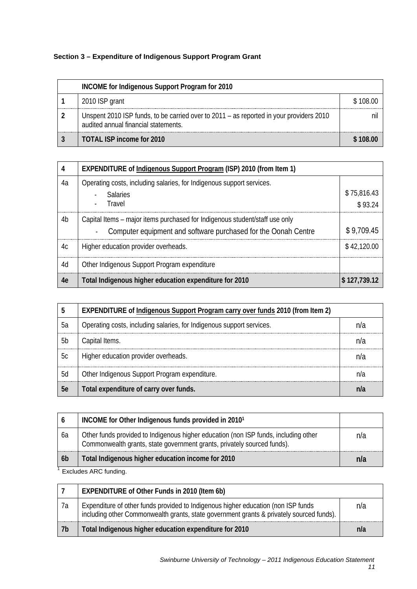# **Section 3 – Expenditure of Indigenous Support Program Grant**

| INCOME for Indigenous Support Program for 2010 |                                                                                                                                 |          |
|------------------------------------------------|---------------------------------------------------------------------------------------------------------------------------------|----------|
|                                                | 2010 ISP grant                                                                                                                  | \$108.00 |
|                                                | Unspent 2010 ISP funds, to be carried over to 2011 – as reported in your providers 2010<br>audited annual financial statements. |          |
|                                                | TOTAL ISP income for 2010                                                                                                       |          |

| 4  | EXPENDITURE of Indigenous Support Program (ISP) 2010 (from Item 1)          |              |
|----|-----------------------------------------------------------------------------|--------------|
| 4a | Operating costs, including salaries, for Indigenous support services.       |              |
|    | - Salaries                                                                  | \$75,816.43  |
|    | - Travel                                                                    | \$93.24      |
| 4b | Capital Items – major items purchased for Indigenous student/staff use only |              |
|    | Computer equipment and software purchased for the Oonah Centre              | \$9,709.45   |
| 4c | Higher education provider overheads.                                        | \$42.120.00  |
| 4d | Other Indigenous Support Program expenditure                                |              |
| 4e | Total Indigenous higher education expenditure for 2010                      | \$127,739.12 |

|           | <b>EXPENDITURE of Indigenous Support Program carry over funds 2010 (from Item 2)</b> |  |
|-----------|--------------------------------------------------------------------------------------|--|
| - 5а      | Operating costs, including salaries, for Indigenous support services.                |  |
| .5h       | Capital Items.                                                                       |  |
| 5c        | Higher education provider overheads.                                                 |  |
| 5d        | Other Indigenous Support Program expenditure.                                        |  |
| <b>5e</b> | Total expenditure of carry over funds.                                               |  |

|                | INCOME for Other Indigenous funds provided in 2010 <sup>1</sup>                                                                                                |     |
|----------------|----------------------------------------------------------------------------------------------------------------------------------------------------------------|-----|
| 6a             | Other funds provided to Indigenous higher education (non ISP funds, including other<br>Commonwealth grants, state government grants, privately sourced funds). | n/a |
| 6 <sub>b</sub> | Total Indigenous higher education income for 2010                                                                                                              | nıa |
|                | Eveludos ADC funding                                                                                                                                           |     |

Excludes ARC funding.

|    | EXPENDITURE of Other Funds in 2010 (Item 6b)                                                                                                                                  |     |
|----|-------------------------------------------------------------------------------------------------------------------------------------------------------------------------------|-----|
| 7а | Expenditure of other funds provided to Indigenous higher education (non ISP funds<br>including other Commonwealth grants, state government grants & privately sourced funds). | n/a |
| 7b | Total Indigenous higher education expenditure for 2010                                                                                                                        | nla |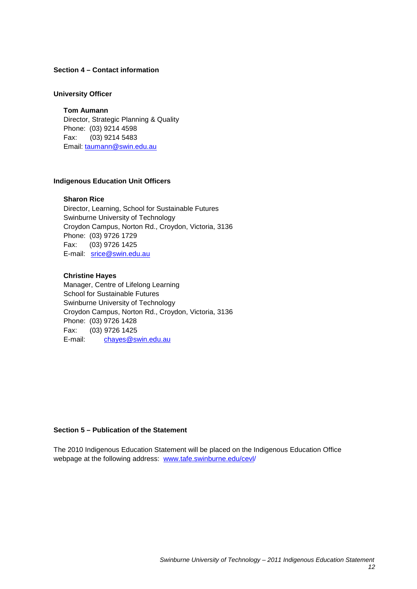#### **Section 4 – Contact information**

#### **University Officer**

**Tom Aumann** Director, Strategic Planning & Quality Phone: (03) 9214 4598 Fax: (03) 9214 5483 Email: [taumann@swin.edu.au](mailto:taumann@swin.edu.au)

## **Indigenous Education Unit Officers**

#### **Sharon Rice**

Director, Learning, School for Sustainable Futures Swinburne University of Technology Croydon Campus, Norton Rd., Croydon, Victoria, 3136 Phone: (03) 9726 1729 Fax: (03) 9726 1425 E-mail: [srice@swin.edu.au](mailto:srice@swin.edu.au)

# **Christine Hayes**

Manager, Centre of Lifelong Learning School for Sustainable Futures Swinburne University of Technology Croydon Campus, Norton Rd., Croydon, Victoria, 3136 Phone: (03) 9726 1428 Fax: (03) 9726 1425<br>E-mail: chayes@sv [chayes@swin.edu.au](mailto:chayes@swin.edu.au)

#### **Section 5 – Publication of the Statement**

The 2010 Indigenous Education Statement will be placed on the Indigenous Education Office webpage at the following address: [www.tafe.swinburne.edu/cevl/](http://www.tafe.swinburne.edu/cevl)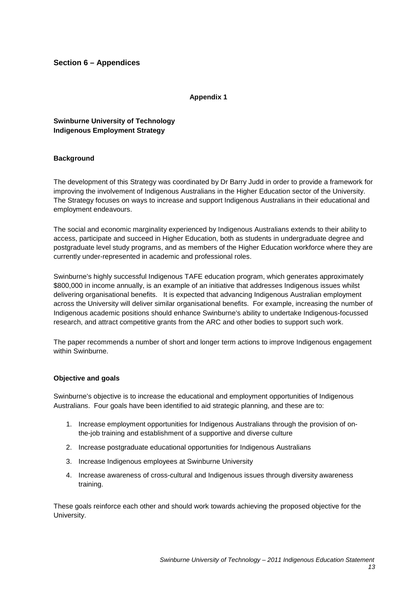# **Section 6 – Appendices**

**Appendix 1**

**Swinburne University of Technology Indigenous Employment Strategy**

# **Background**

The development of this Strategy was coordinated by Dr Barry Judd in order to provide a framework for improving the involvement of Indigenous Australians in the Higher Education sector of the University. The Strategy focuses on ways to increase and support Indigenous Australians in their educational and employment endeavours.

The social and economic marginality experienced by Indigenous Australians extends to their ability to access, participate and succeed in Higher Education, both as students in undergraduate degree and postgraduate level study programs, and as members of the Higher Education workforce where they are currently under-represented in academic and professional roles.

Swinburne's highly successful Indigenous TAFE education program, which generates approximately \$800,000 in income annually, is an example of an initiative that addresses Indigenous issues whilst delivering organisational benefits. It is expected that advancing Indigenous Australian employment across the University will deliver similar organisational benefits. For example, increasing the number of Indigenous academic positions should enhance Swinburne's ability to undertake Indigenous-focussed research, and attract competitive grants from the ARC and other bodies to support such work.

The paper recommends a number of short and longer term actions to improve Indigenous engagement within Swinburne.

#### **Objective and goals**

Swinburne's objective is to increase the educational and employment opportunities of Indigenous Australians. Four goals have been identified to aid strategic planning, and these are to:

- 1. Increase employment opportunities for Indigenous Australians through the provision of onthe-job training and establishment of a supportive and diverse culture
- 2. Increase postgraduate educational opportunities for Indigenous Australians
- 3. Increase Indigenous employees at Swinburne University
- 4. Increase awareness of cross-cultural and Indigenous issues through diversity awareness training.

These goals reinforce each other and should work towards achieving the proposed objective for the University.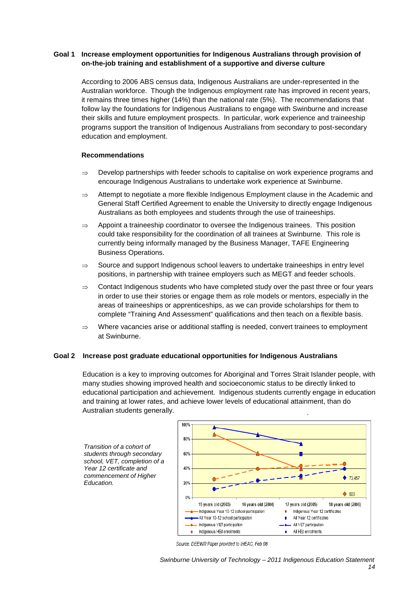# **Goal 1 Increase employment opportunities for Indigenous Australians through provision of on-the-job training and establishment of a supportive and diverse culture**

According to 2006 ABS census data, Indigenous Australians are under-represented in the Australian workforce. Though the Indigenous employment rate has improved in recent years, it remains three times higher (14%) than the national rate (5%). The recommendations that follow lay the foundations for Indigenous Australians to engage with Swinburne and increase their skills and future employment prospects. In particular, work experience and traineeship programs support the transition of Indigenous Australians from secondary to post-secondary education and employment.

#### **Recommendations**

- $\Rightarrow$  Develop partnerships with feeder schools to capitalise on work experience programs and encourage Indigenous Australians to undertake work experience at Swinburne.
- ⇒ Attempt to negotiate a more flexible Indigenous Employment clause in the Academic and General Staff Certified Agreement to enable the University to directly engage Indigenous Australians as both employees and students through the use of traineeships.
- $\Rightarrow$  Appoint a traineeship coordinator to oversee the Indigenous trainees. This position could take responsibility for the coordination of all trainees at Swinburne. This role is currently being informally managed by the Business Manager, TAFE Engineering Business Operations.
- ⇒ Source and support Indigenous school leavers to undertake traineeships in entry level positions, in partnership with trainee employers such as MEGT and feeder schools.
- $\Rightarrow$  Contact Indigenous students who have completed study over the past three or four years in order to use their stories or engage them as role models or mentors, especially in the areas of traineeships or apprenticeships, as we can provide scholarships for them to complete "Training And Assessment" qualifications and then teach on a flexible basis.
- ⇒ Where vacancies arise or additional staffing is needed, convert trainees to employment at Swinburne.

# **Goal 2 Increase post graduate educational opportunities for Indigenous Australians**

Education is a key to improving outcomes for Aboriginal and Torres Strait Islander people, with many studies showing improved health and socioeconomic status to be directly linked to educational participation and achievement. Indigenous students currently engage in education and training at lower rates, and achieve lower levels of educational attainment, than do Australian students generally.





Source: DEEWR Paper provided to IHEAC, Feb 08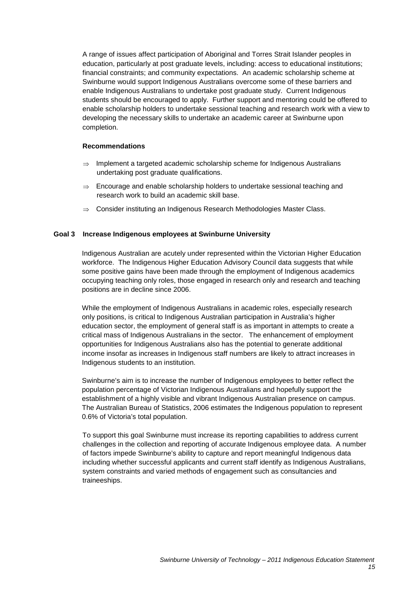A range of issues affect participation of Aboriginal and Torres Strait Islander peoples in education, particularly at post graduate levels, including: access to educational institutions; financial constraints; and community expectations. An academic scholarship scheme at Swinburne would support Indigenous Australians overcome some of these barriers and enable Indigenous Australians to undertake post graduate study. Current Indigenous students should be encouraged to apply. Further support and mentoring could be offered to enable scholarship holders to undertake sessional teaching and research work with a view to developing the necessary skills to undertake an academic career at Swinburne upon completion.

# **Recommendations**

- ⇒ Implement a targeted academic scholarship scheme for Indigenous Australians undertaking post graduate qualifications.
- $\Rightarrow$  Encourage and enable scholarship holders to undertake sessional teaching and research work to build an academic skill base.
- ⇒ Consider instituting an Indigenous Research Methodologies Master Class.

#### **Goal 3 Increase Indigenous employees at Swinburne University**

Indigenous Australian are acutely under represented within the Victorian Higher Education workforce. The Indigenous Higher Education Advisory Council data suggests that while some positive gains have been made through the employment of Indigenous academics occupying teaching only roles, those engaged in research only and research and teaching positions are in decline since 2006.

While the employment of Indigenous Australians in academic roles, especially research only positions, is critical to Indigenous Australian participation in Australia's higher education sector, the employment of general staff is as important in attempts to create a critical mass of Indigenous Australians in the sector. The enhancement of employment opportunities for Indigenous Australians also has the potential to generate additional income insofar as increases in Indigenous staff numbers are likely to attract increases in Indigenous students to an institution.

Swinburne's aim is to increase the number of Indigenous employees to better reflect the population percentage of Victorian Indigenous Australians and hopefully support the establishment of a highly visible and vibrant Indigenous Australian presence on campus. The Australian Bureau of Statistics, 2006 estimates the Indigenous population to represent 0.6% of Victoria's total population.

To support this goal Swinburne must increase its reporting capabilities to address current challenges in the collection and reporting of accurate Indigenous employee data. A number of factors impede Swinburne's ability to capture and report meaningful Indigenous data including whether successful applicants and current staff identify as Indigenous Australians, system constraints and varied methods of engagement such as consultancies and traineeships.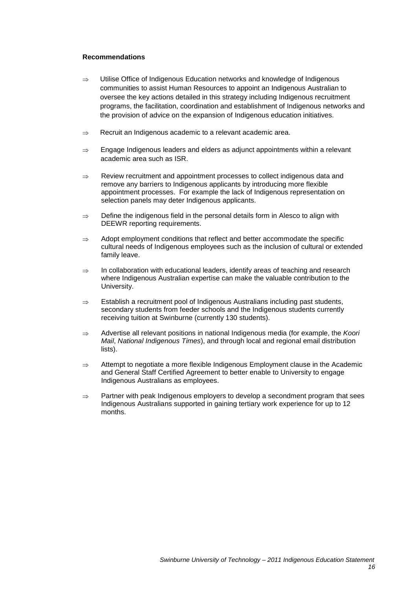#### **Recommendations**

- ⇒ Utilise Office of Indigenous Education networks and knowledge of Indigenous communities to assist Human Resources to appoint an Indigenous Australian to oversee the key actions detailed in this strategy including Indigenous recruitment programs, the facilitation, coordination and establishment of Indigenous networks and the provision of advice on the expansion of Indigenous education initiatives.
- ⇒ Recruit an Indigenous academic to a relevant academic area.
- ⇒ Engage Indigenous leaders and elders as adjunct appointments within a relevant academic area such as ISR.
- ⇒ Review recruitment and appointment processes to collect indigenous data and remove any barriers to Indigenous applicants by introducing more flexible appointment processes. For example the lack of Indigenous representation on selection panels may deter Indigenous applicants.
- ⇒ Define the indigenous field in the personal details form in Alesco to align with DEEWR reporting requirements.
- $\Rightarrow$  Adopt employment conditions that reflect and better accommodate the specific cultural needs of Indigenous employees such as the inclusion of cultural or extended family leave.
- ⇒ In collaboration with educational leaders, identify areas of teaching and research where Indigenous Australian expertise can make the valuable contribution to the University.
- ⇒ Establish a recruitment pool of Indigenous Australians including past students, secondary students from feeder schools and the Indigenous students currently receiving tuition at Swinburne (currently 130 students).
- ⇒ Advertise all relevant positions in national Indigenous media (for example, the *Koori Mail*, *National Indigenous Times*), and through local and regional email distribution lists).
- ⇒ Attempt to negotiate a more flexible Indigenous Employment clause in the Academic and General Staff Certified Agreement to better enable to University to engage Indigenous Australians as employees.
- $\Rightarrow$  Partner with peak Indigenous employers to develop a secondment program that sees Indigenous Australians supported in gaining tertiary work experience for up to 12 months.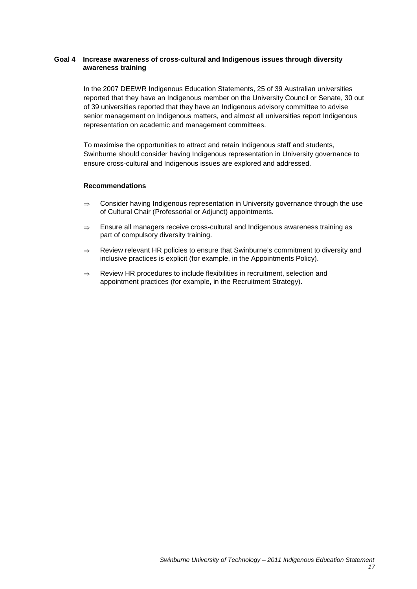# **Goal 4 Increase awareness of cross-cultural and Indigenous issues through diversity awareness training**

In the 2007 DEEWR Indigenous Education Statements, 25 of 39 Australian universities reported that they have an Indigenous member on the University Council or Senate, 30 out of 39 universities reported that they have an Indigenous advisory committee to advise senior management on Indigenous matters, and almost all universities report Indigenous representation on academic and management committees.

To maximise the opportunities to attract and retain Indigenous staff and students, Swinburne should consider having Indigenous representation in University governance to ensure cross-cultural and Indigenous issues are explored and addressed.

#### **Recommendations**

- $\Rightarrow$  Consider having Indigenous representation in University governance through the use of Cultural Chair (Professorial or Adjunct) appointments.
- ⇒ Ensure all managers receive cross-cultural and Indigenous awareness training as part of compulsory diversity training.
- ⇒ Review relevant HR policies to ensure that Swinburne's commitment to diversity and inclusive practices is explicit (for example, in the Appointments Policy).
- ⇒ Review HR procedures to include flexibilities in recruitment, selection and appointment practices (for example, in the Recruitment Strategy).